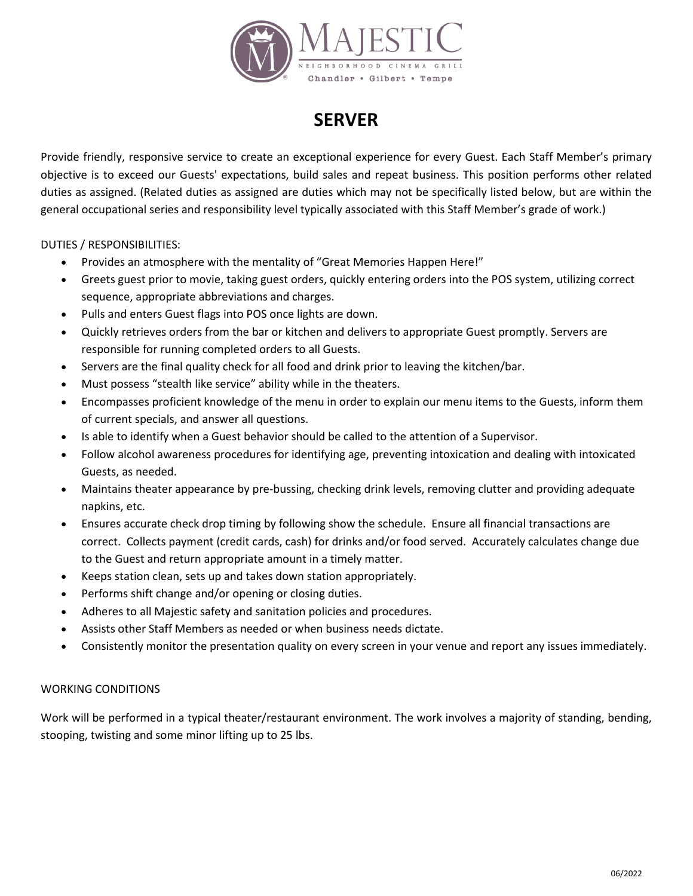

## **SERVER**

Provide friendly, responsive service to create an exceptional experience for every Guest. Each Staff Member's primary objective is to exceed our Guests' expectations, build sales and repeat business. This position performs other related duties as assigned. (Related duties as assigned are duties which may not be specifically listed below, but are within the general occupational series and responsibility level typically associated with this Staff Member's grade of work.)

DUTIES / RESPONSIBILITIES:

- Provides an atmosphere with the mentality of "Great Memories Happen Here!"
- Greets guest prior to movie, taking guest orders, quickly entering orders into the POS system, utilizing correct sequence, appropriate abbreviations and charges.
- Pulls and enters Guest flags into POS once lights are down.
- Quickly retrieves orders from the bar or kitchen and delivers to appropriate Guest promptly. Servers are responsible for running completed orders to all Guests.
- Servers are the final quality check for all food and drink prior to leaving the kitchen/bar.
- Must possess "stealth like service" ability while in the theaters.
- Encompasses proficient knowledge of the menu in order to explain our menu items to the Guests, inform them of current specials, and answer all questions.
- Is able to identify when a Guest behavior should be called to the attention of a Supervisor.
- Follow alcohol awareness procedures for identifying age, preventing intoxication and dealing with intoxicated Guests, as needed.
- Maintains theater appearance by pre-bussing, checking drink levels, removing clutter and providing adequate napkins, etc.
- Ensures accurate check drop timing by following show the schedule. Ensure all financial transactions are correct. Collects payment (credit cards, cash) for drinks and/or food served. Accurately calculates change due to the Guest and return appropriate amount in a timely matter.
- Keeps station clean, sets up and takes down station appropriately.
- Performs shift change and/or opening or closing duties.
- Adheres to all Majestic safety and sanitation policies and procedures.
- Assists other Staff Members as needed or when business needs dictate.
- Consistently monitor the presentation quality on every screen in your venue and report any issues immediately.

## WORKING CONDITIONS

Work will be performed in a typical theater/restaurant environment. The work involves a majority of standing, bending, stooping, twisting and some minor lifting up to 25 lbs.